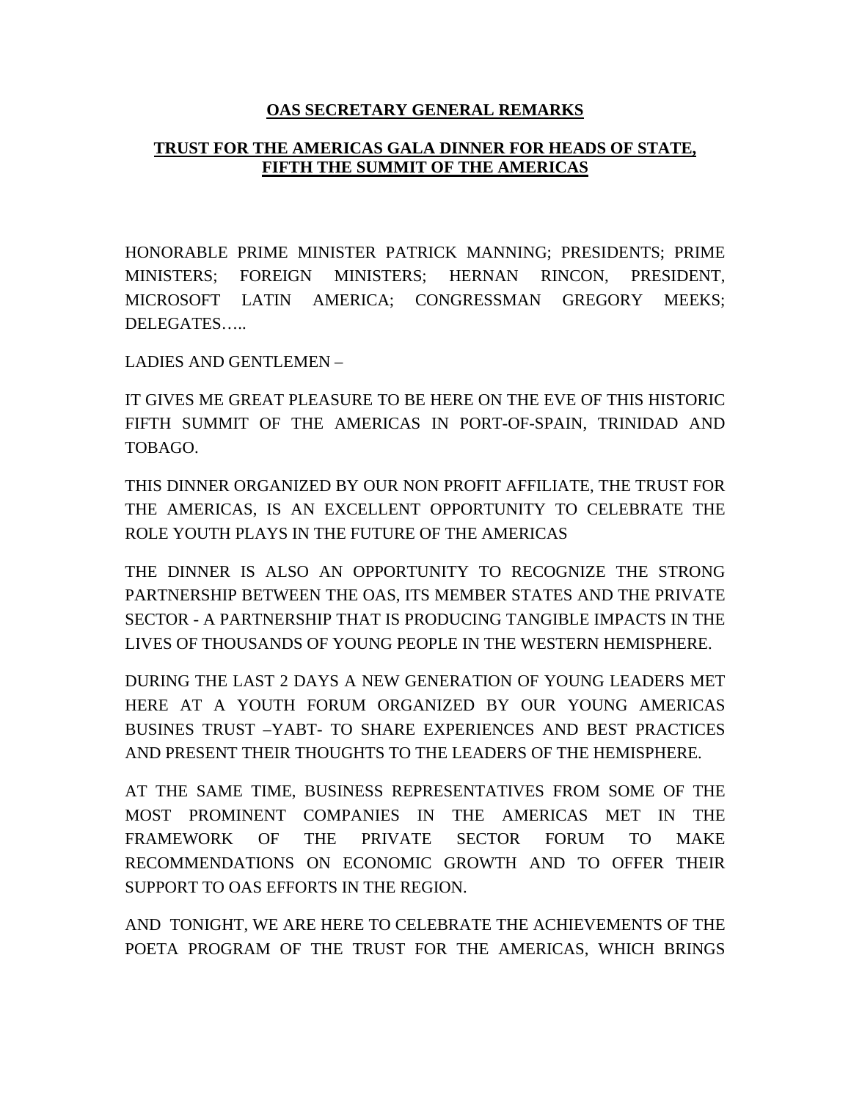## **OAS SECRETARY GENERAL REMARKS**

## **TRUST FOR THE AMERICAS GALA DINNER FOR HEADS OF STATE, FIFTH THE SUMMIT OF THE AMERICAS**

HONORABLE PRIME MINISTER PATRICK MANNING; PRESIDENTS; PRIME MINISTERS; FOREIGN MINISTERS; HERNAN RINCON, PRESIDENT, MICROSOFT LATIN AMERICA; CONGRESSMAN GREGORY MEEKS; DELEGATES…..

LADIES AND GENTLEMEN –

IT GIVES ME GREAT PLEASURE TO BE HERE ON THE EVE OF THIS HISTORIC FIFTH SUMMIT OF THE AMERICAS IN PORT-OF-SPAIN, TRINIDAD AND TOBAGO.

THIS DINNER ORGANIZED BY OUR NON PROFIT AFFILIATE, THE TRUST FOR THE AMERICAS, IS AN EXCELLENT OPPORTUNITY TO CELEBRATE THE ROLE YOUTH PLAYS IN THE FUTURE OF THE AMERICAS

THE DINNER IS ALSO AN OPPORTUNITY TO RECOGNIZE THE STRONG PARTNERSHIP BETWEEN THE OAS, ITS MEMBER STATES AND THE PRIVATE SECTOR - A PARTNERSHIP THAT IS PRODUCING TANGIBLE IMPACTS IN THE LIVES OF THOUSANDS OF YOUNG PEOPLE IN THE WESTERN HEMISPHERE.

DURING THE LAST 2 DAYS A NEW GENERATION OF YOUNG LEADERS MET HERE AT A YOUTH FORUM ORGANIZED BY OUR YOUNG AMERICAS BUSINES TRUST –YABT- TO SHARE EXPERIENCES AND BEST PRACTICES AND PRESENT THEIR THOUGHTS TO THE LEADERS OF THE HEMISPHERE.

AT THE SAME TIME, BUSINESS REPRESENTATIVES FROM SOME OF THE MOST PROMINENT COMPANIES IN THE AMERICAS MET IN THE FRAMEWORK OF THE PRIVATE SECTOR FORUM TO MAKE RECOMMENDATIONS ON ECONOMIC GROWTH AND TO OFFER THEIR SUPPORT TO OAS EFFORTS IN THE REGION.

AND TONIGHT, WE ARE HERE TO CELEBRATE THE ACHIEVEMENTS OF THE POETA PROGRAM OF THE TRUST FOR THE AMERICAS, WHICH BRINGS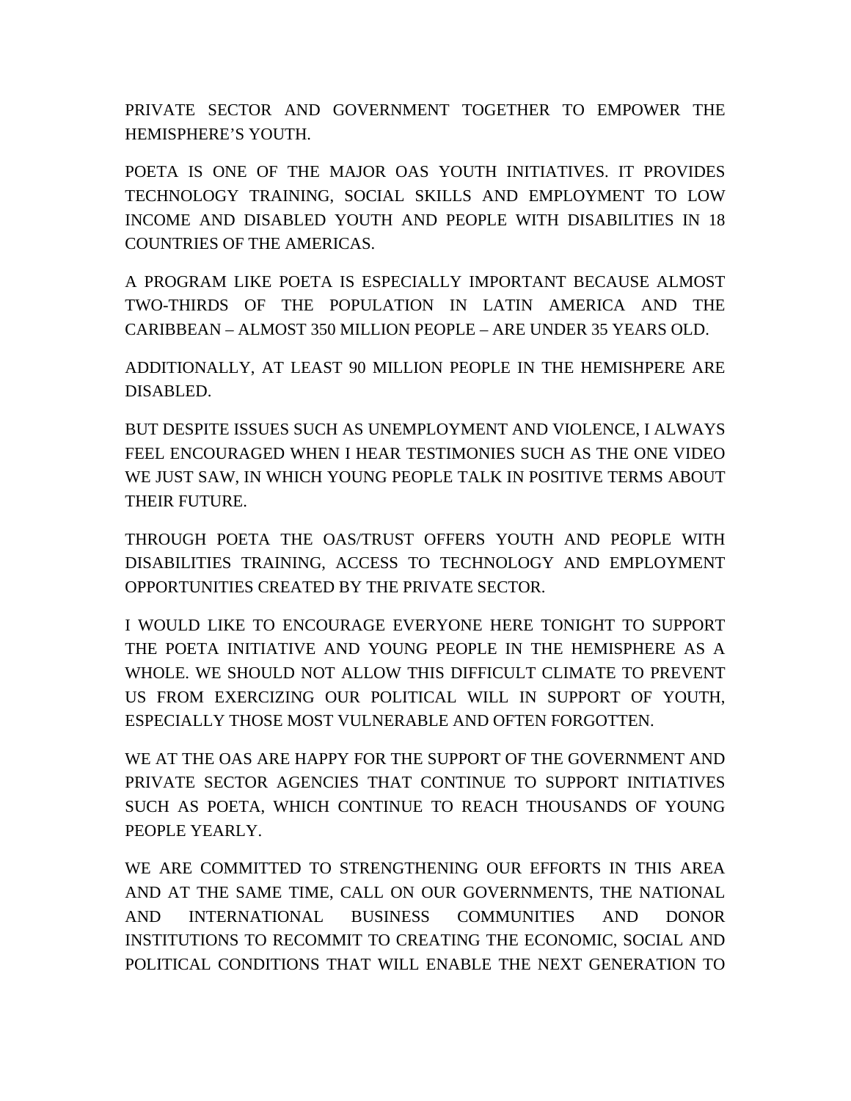PRIVATE SECTOR AND GOVERNMENT TOGETHER TO EMPOWER THE HEMISPHERE'S YOUTH.

POETA IS ONE OF THE MAJOR OAS YOUTH INITIATIVES. IT PROVIDES TECHNOLOGY TRAINING, SOCIAL SKILLS AND EMPLOYMENT TO LOW INCOME AND DISABLED YOUTH AND PEOPLE WITH DISABILITIES IN 18 COUNTRIES OF THE AMERICAS.

A PROGRAM LIKE POETA IS ESPECIALLY IMPORTANT BECAUSE ALMOST TWO-THIRDS OF THE POPULATION IN LATIN AMERICA AND THE CARIBBEAN – ALMOST 350 MILLION PEOPLE – ARE UNDER 35 YEARS OLD.

ADDITIONALLY, AT LEAST 90 MILLION PEOPLE IN THE HEMISHPERE ARE DISABLED.

BUT DESPITE ISSUES SUCH AS UNEMPLOYMENT AND VIOLENCE, I ALWAYS FEEL ENCOURAGED WHEN I HEAR TESTIMONIES SUCH AS THE ONE VIDEO WE JUST SAW, IN WHICH YOUNG PEOPLE TALK IN POSITIVE TERMS ABOUT THEIR FUTURE.

THROUGH POETA THE OAS/TRUST OFFERS YOUTH AND PEOPLE WITH DISABILITIES TRAINING, ACCESS TO TECHNOLOGY AND EMPLOYMENT OPPORTUNITIES CREATED BY THE PRIVATE SECTOR.

I WOULD LIKE TO ENCOURAGE EVERYONE HERE TONIGHT TO SUPPORT THE POETA INITIATIVE AND YOUNG PEOPLE IN THE HEMISPHERE AS A WHOLE. WE SHOULD NOT ALLOW THIS DIFFICULT CLIMATE TO PREVENT US FROM EXERCIZING OUR POLITICAL WILL IN SUPPORT OF YOUTH, ESPECIALLY THOSE MOST VULNERABLE AND OFTEN FORGOTTEN.

WE AT THE OAS ARE HAPPY FOR THE SUPPORT OF THE GOVERNMENT AND PRIVATE SECTOR AGENCIES THAT CONTINUE TO SUPPORT INITIATIVES SUCH AS POETA, WHICH CONTINUE TO REACH THOUSANDS OF YOUNG PEOPLE YEARLY.

WE ARE COMMITTED TO STRENGTHENING OUR EFFORTS IN THIS AREA AND AT THE SAME TIME, CALL ON OUR GOVERNMENTS, THE NATIONAL AND INTERNATIONAL BUSINESS COMMUNITIES AND DONOR INSTITUTIONS TO RECOMMIT TO CREATING THE ECONOMIC, SOCIAL AND POLITICAL CONDITIONS THAT WILL ENABLE THE NEXT GENERATION TO